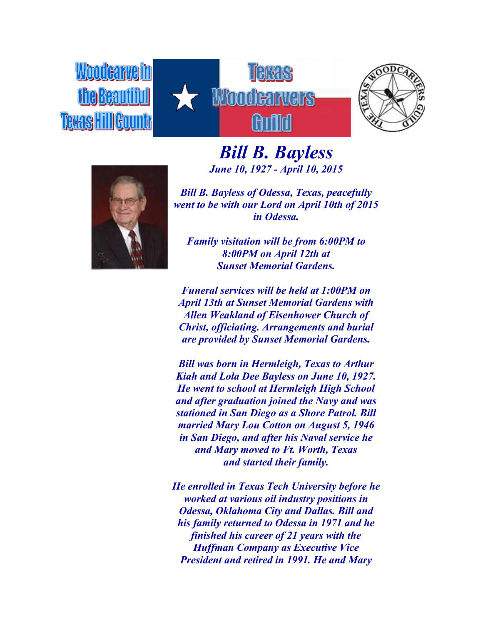Woodcarvelin the Beautit **Texas HillGount** 







*Bill B. Bayless June 10, 1927 - April 10, 2015*

*Bill B. Bayless of Odessa, Texas, peacefully went to be with our Lord on April 10th of 2015 in Odessa.*

*Family visitation will be from 6:00PM to 8:00PM on April 12th at Sunset Memorial Gardens.*

*Funeral services will be held at 1:00PM on April 13th at Sunset Memorial Gardens with Allen Weakland of Eisenhower Church of Christ, officiating. Arrangements and burial are provided by Sunset Memorial Gardens.*

*Bill was born in Hermleigh, Texas to Arthur Kiah and Lola Dee Bayless on June 10, 1927. He went to school at Hermleigh High School and after graduation joined the Navy and was stationed in San Diego as a Shore Patrol. Bill married Mary Lou Cotton on August 5, 1946 in San Diego, and after his Naval service he and Mary moved to Ft. Worth, Texas and started their family.*

*He enrolled in Texas Tech University before he worked at various oil industry positions in Odessa, Oklahoma City and Dallas. Bill and his family returned to Odessa in 1971 and he finished his career of 21 years with the Huffman Company as Executive Vice President and retired in 1991. He and Mary*